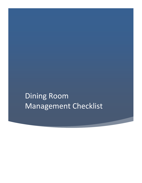Dining Room Management Checklist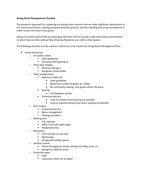## **Dining Room Management Checklist**

The phased-in approach for reopening our dining room requires that we make significant adjustments to our dining room layout, hosting and guest welcome process, wait list handling and service procedures in order to earn the trust of our guests.

Guests must feel assured that we have gone the extra mile to provide a safe and sanitary environment in which they can dine without fear of being infected by our staff or other guests.

The following checklist is to be used as a reference as we create our Dining Room Management Plan.

- Social Distancing
	- o Occupancy limits
		- State guidelines
		- **■** Increased with phasing in
	- o Floor plan changes
		- Remove seating or,
		- Designate closed tables
	- o Table configuration
		- Maximum table size
			- State guidelines
			- Maximum number of guests at 1 table
			- No community seating, only guests within the party
		- **Spacing** 
			- 6-ft. between parties
		- **Protective barriers** 
			- Used for booths when spacing not possible
			- Used to separate dining areas when spacing not possible
	- o Host station
		- Protective barriers
		- Menu management
		- Seating procedure
	- o Waiting area
		- 6-ft. spacing
		- Wait in car until table ready
		- Designated area
	- o Restrooms
		- Limit number at one time
		- Monitoring
		- Designated waiting spaces
	- o Sanitizer stands
		- Placed throughout counter, dining and lobby areas, or
		- Brought to table by server
	- o Protective wear
		- Staff
		- Customers when not at table?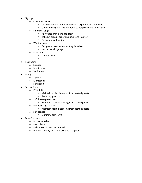- Signage
	- o Customer notices
		- Customer Promise (not to dine-in if experiencing symptoms)
		- Our Promise (what we are doing to keep staff and guests safe)
	- o Floor markings
		- Anywhere that a line can form
		- Takeout pickup, order and payment counters
		- Restroom waiting line
	- o Waiting area
		- Designated area when waiting for table
		- Instructional signage
	- o Restrooms
		- Limited access
	- ▪
- Restrooms
	- o Signage
	- o Monitoring
	- o Sanitation
- Lobby
	- o Signage
	- o Monitoring
	- o Sanitation
- Service Areas
	- o POS stations
		- Maintain social distancing from seated guests
		- Sanitizing protocol
	- o Soft beverage service
		- Maintain social distancing from seated guests
	- o Bar beverage service
		- Maintain social distancing from seated guests
	- o Self-service
		- **Eliminate self-serve**
- Table Settings
	- o No preset tables
	- o Use rollups
	- o Deliver condiments as needed
	- o Provide sanitary or 1-time use salt & pepper